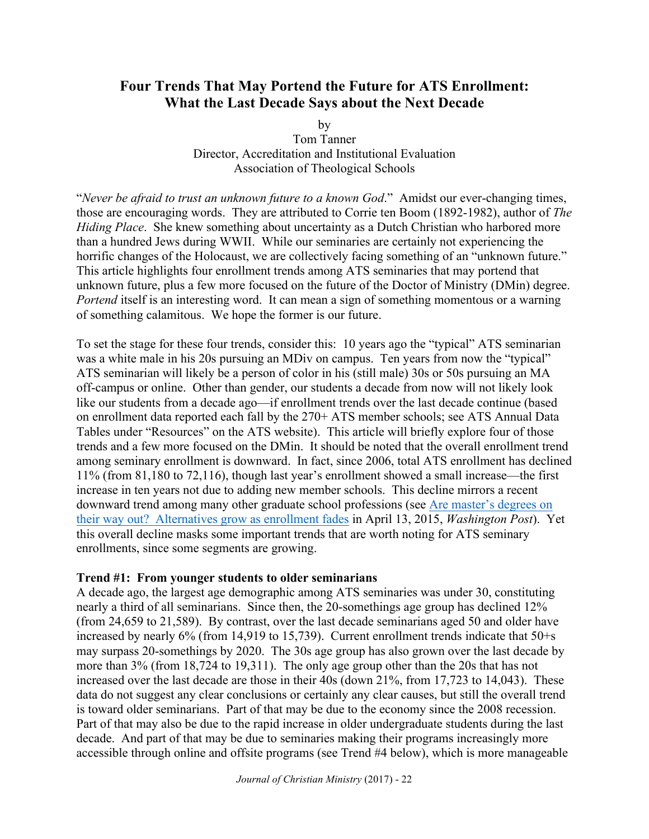# **Four Trends That May Portend the Future for ATS Enrollment: What the Last Decade Says about the Next Decade**

by

Tom Tanner Director, Accreditation and Institutional Evaluation Association of Theological Schools

"*Never be afraid to trust an unknown future to a known God*." Amidst our ever-changing times, those are encouraging words. They are attributed to Corrie ten Boom (1892-1982), author of *The Hiding Place*. She knew something about uncertainty as a Dutch Christian who harbored more than a hundred Jews during WWII. While our seminaries are certainly not experiencing the horrific changes of the Holocaust, we are collectively facing something of an "unknown future." This article highlights four enrollment trends among ATS seminaries that may portend that unknown future, plus a few more focused on the future of the Doctor of Ministry (DMin) degree. *Portend* itself is an interesting word. It can mean a sign of something momentous or a warning of something calamitous. We hope the former is our future.

To set the stage for these four trends, consider this: 10 years ago the "typical" ATS seminarian was a white male in his 20s pursuing an MDiv on campus. Ten years from now the "typical" ATS seminarian will likely be a person of color in his (still male) 30s or 50s pursuing an MA off-campus or online. Other than gender, our students a decade from now will not likely look like our students from a decade ago—if enrollment trends over the last decade continue (based on enrollment data reported each fall by the 270+ ATS member schools; see ATS Annual Data Tables under "Resources" on the ATS website). This article will briefly explore four of those trends and a few more focused on the DMin. It should be noted that the overall enrollment trend among seminary enrollment is downward. In fact, since 2006, total ATS enrollment has declined 11% (from 81,180 to 72,116), though last year's enrollment showed a small increase—the first increase in ten years not due to adding new member schools. This decline mirrors a recent downward trend among many other graduate school professions (see Are master's degrees on their way out? Alternatives grow as enrollment fades in April 13, 2015, *Washington Post*). Yet this overall decline masks some important trends that are worth noting for ATS seminary enrollments, since some segments are growing.

### **Trend #1: From younger students to older seminarians**

A decade ago, the largest age demographic among ATS seminaries was under 30, constituting nearly a third of all seminarians. Since then, the 20-somethings age group has declined 12% (from 24,659 to 21,589). By contrast, over the last decade seminarians aged 50 and older have increased by nearly 6% (from 14,919 to 15,739). Current enrollment trends indicate that 50+s may surpass 20-somethings by 2020. The 30s age group has also grown over the last decade by more than 3% (from 18,724 to 19,311). The only age group other than the 20s that has not increased over the last decade are those in their 40s (down 21%, from 17,723 to 14,043). These data do not suggest any clear conclusions or certainly any clear causes, but still the overall trend is toward older seminarians. Part of that may be due to the economy since the 2008 recession. Part of that may also be due to the rapid increase in older undergraduate students during the last decade. And part of that may be due to seminaries making their programs increasingly more accessible through online and offsite programs (see Trend #4 below), which is more manageable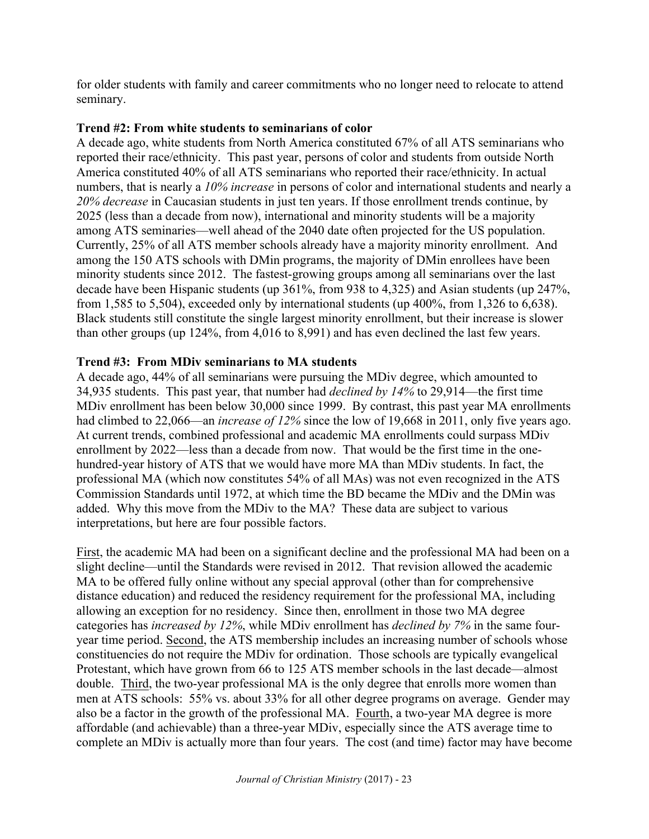for older students with family and career commitments who no longer need to relocate to attend seminary.

## **Trend #2: From white students to seminarians of color**

A decade ago, white students from North America constituted 67% of all ATS seminarians who reported their race/ethnicity. This past year, persons of color and students from outside North America constituted 40% of all ATS seminarians who reported their race/ethnicity. In actual numbers, that is nearly a *10% increase* in persons of color and international students and nearly a *20% decrease* in Caucasian students in just ten years. If those enrollment trends continue, by 2025 (less than a decade from now), international and minority students will be a majority among ATS seminaries—well ahead of the 2040 date often projected for the US population. Currently, 25% of all ATS member schools already have a majority minority enrollment. And among the 150 ATS schools with DMin programs, the majority of DMin enrollees have been minority students since 2012. The fastest-growing groups among all seminarians over the last decade have been Hispanic students (up 361%, from 938 to 4,325) and Asian students (up 247%, from 1,585 to 5,504), exceeded only by international students (up 400%, from 1,326 to 6,638). Black students still constitute the single largest minority enrollment, but their increase is slower than other groups (up 124%, from 4,016 to 8,991) and has even declined the last few years.

# **Trend #3: From MDiv seminarians to MA students**

A decade ago, 44% of all seminarians were pursuing the MDiv degree, which amounted to 34,935 students. This past year, that number had *declined by 14%* to 29,914—the first time MDiv enrollment has been below 30,000 since 1999. By contrast, this past year MA enrollments had climbed to 22,066—an *increase of 12%* since the low of 19,668 in 2011, only five years ago. At current trends, combined professional and academic MA enrollments could surpass MDiv enrollment by 2022—less than a decade from now. That would be the first time in the onehundred-year history of ATS that we would have more MA than MDiv students. In fact, the professional MA (which now constitutes 54% of all MAs) was not even recognized in the ATS Commission Standards until 1972, at which time the BD became the MDiv and the DMin was added. Why this move from the MDiv to the MA? These data are subject to various interpretations, but here are four possible factors.

First, the academic MA had been on a significant decline and the professional MA had been on a slight decline—until the Standards were revised in 2012. That revision allowed the academic MA to be offered fully online without any special approval (other than for comprehensive distance education) and reduced the residency requirement for the professional MA, including allowing an exception for no residency. Since then, enrollment in those two MA degree categories has *increased by 12%*, while MDiv enrollment has *declined by 7%* in the same fouryear time period. Second, the ATS membership includes an increasing number of schools whose constituencies do not require the MDiv for ordination. Those schools are typically evangelical Protestant, which have grown from 66 to 125 ATS member schools in the last decade—almost double. Third, the two-year professional MA is the only degree that enrolls more women than men at ATS schools: 55% vs. about 33% for all other degree programs on average. Gender may also be a factor in the growth of the professional MA. Fourth, a two-year MA degree is more affordable (and achievable) than a three-year MDiv, especially since the ATS average time to complete an MDiv is actually more than four years. The cost (and time) factor may have become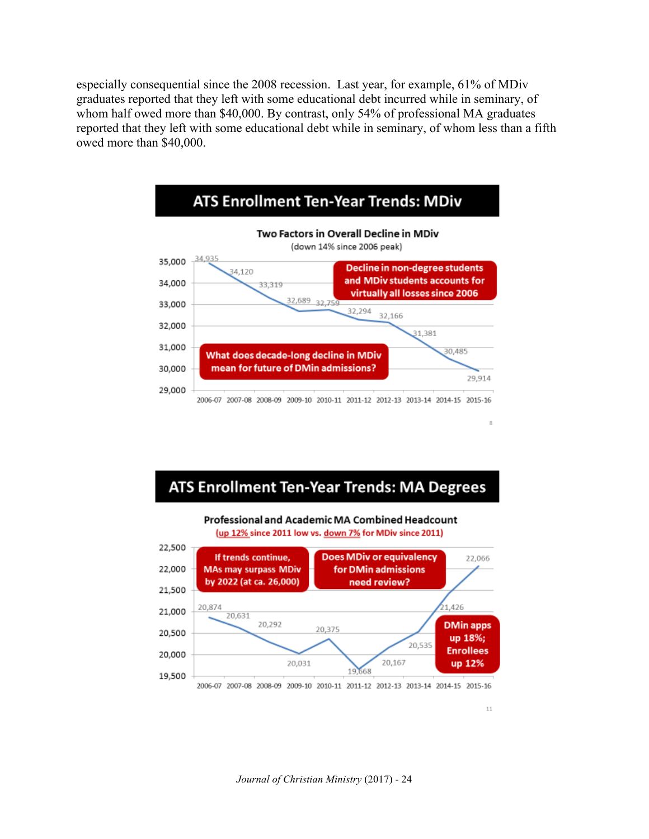especially consequential since the 2008 recession. Last year, for example, 61% of MDiv graduates reported that they left with some educational debt incurred while in seminary, of whom half owed more than \$40,000. By contrast, only 54% of professional MA graduates reported that they left with some educational debt while in seminary, of whom less than a fifth owed more than \$40,000.



# ATS Enrollment Ten-Year Trends: MA Degrees

Professional and Academic MA Combined Headcount (up 12% since 2011 low vs. down 7% for MDiv since 2011)



 $11$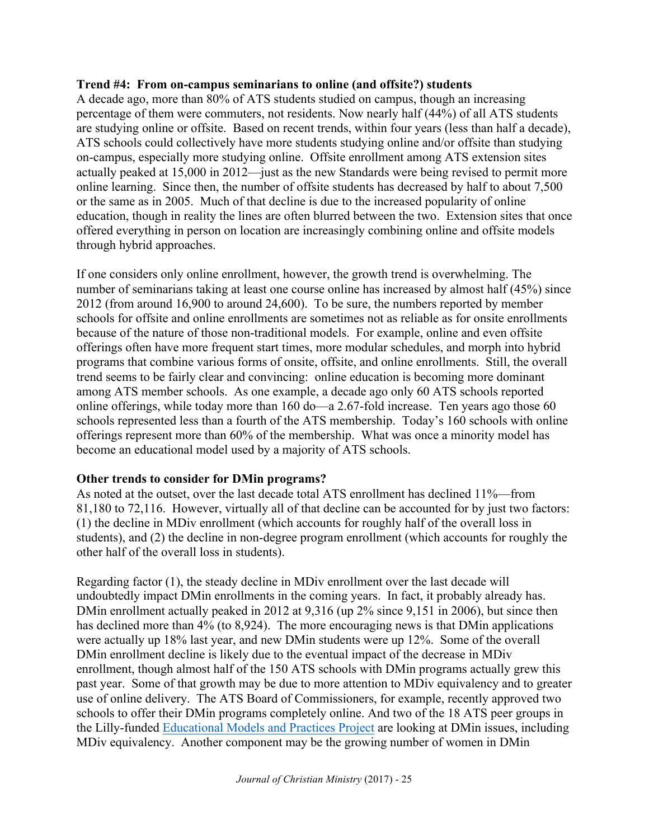### **Trend #4: From on-campus seminarians to online (and offsite?) students**

A decade ago, more than 80% of ATS students studied on campus, though an increasing percentage of them were commuters, not residents. Now nearly half (44%) of all ATS students are studying online or offsite. Based on recent trends, within four years (less than half a decade), ATS schools could collectively have more students studying online and/or offsite than studying on-campus, especially more studying online. Offsite enrollment among ATS extension sites actually peaked at 15,000 in 2012—just as the new Standards were being revised to permit more online learning. Since then, the number of offsite students has decreased by half to about 7,500 or the same as in 2005. Much of that decline is due to the increased popularity of online education, though in reality the lines are often blurred between the two. Extension sites that once offered everything in person on location are increasingly combining online and offsite models through hybrid approaches.

If one considers only online enrollment, however, the growth trend is overwhelming. The number of seminarians taking at least one course online has increased by almost half (45%) since 2012 (from around 16,900 to around 24,600). To be sure, the numbers reported by member schools for offsite and online enrollments are sometimes not as reliable as for onsite enrollments because of the nature of those non-traditional models. For example, online and even offsite offerings often have more frequent start times, more modular schedules, and morph into hybrid programs that combine various forms of onsite, offsite, and online enrollments. Still, the overall trend seems to be fairly clear and convincing: online education is becoming more dominant among ATS member schools. As one example, a decade ago only 60 ATS schools reported online offerings, while today more than 160 do—a 2.67-fold increase. Ten years ago those 60 schools represented less than a fourth of the ATS membership. Today's 160 schools with online offerings represent more than 60% of the membership. What was once a minority model has become an educational model used by a majority of ATS schools.

## **Other trends to consider for DMin programs?**

As noted at the outset, over the last decade total ATS enrollment has declined 11%—from 81,180 to 72,116. However, virtually all of that decline can be accounted for by just two factors: (1) the decline in MDiv enrollment (which accounts for roughly half of the overall loss in students), and (2) the decline in non-degree program enrollment (which accounts for roughly the other half of the overall loss in students).

Regarding factor (1), the steady decline in MDiv enrollment over the last decade will undoubtedly impact DMin enrollments in the coming years. In fact, it probably already has. DMin enrollment actually peaked in 2012 at 9,316 (up 2% since 9,151 in 2006), but since then has declined more than 4% (to 8,924). The more encouraging news is that DMin applications were actually up 18% last year, and new DMin students were up 12%. Some of the overall DMin enrollment decline is likely due to the eventual impact of the decrease in MDiv enrollment, though almost half of the 150 ATS schools with DMin programs actually grew this past year. Some of that growth may be due to more attention to MDiv equivalency and to greater use of online delivery. The ATS Board of Commissioners, for example, recently approved two schools to offer their DMin programs completely online. And two of the 18 ATS peer groups in the Lilly-funded Educational Models and Practices Project are looking at DMin issues, including MDiv equivalency. Another component may be the growing number of women in DMin